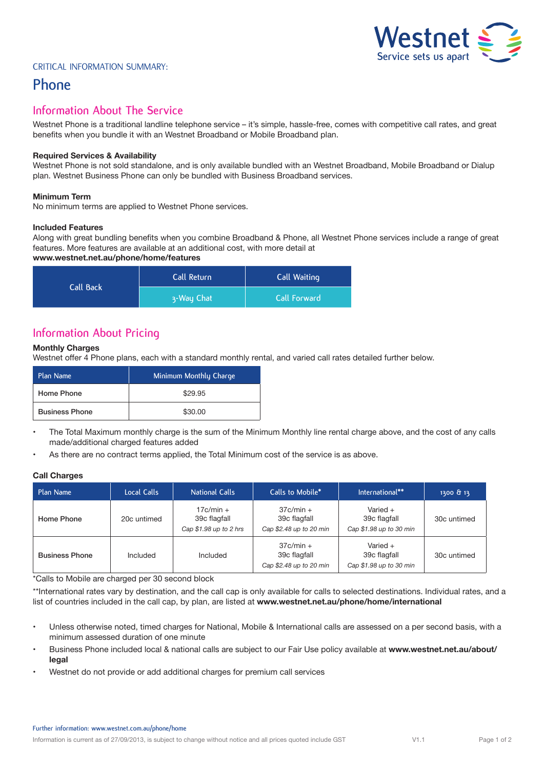# Vestnet  $\leq$  2 **Service sets us apart**

#### Critical Information Summary:

# **Phone**

### **Information About The Service**

Westnet Phone is a traditional landline telephone service – it's simple, hassle-free, comes with competitive call rates, and great benefits when you bundle it with an Westnet Broadband or Mobile Broadband plan.

#### **Required Services & Availability**

Westnet Phone is not sold standalone, and is only available bundled with an Westnet Broadband, Mobile Broadband or Dialup plan. Westnet Business Phone can only be bundled with Business Broadband services.

#### **Minimum Term**

No minimum terms are applied to Westnet Phone services.

#### **Included Features**

Along with great bundling benefits when you combine Broadband & Phone, all Westnet Phone services include a range of great features. More features are available at an additional cost, with more detail at

#### **www.westnet.net.au/phone/home/features**

| Call Back | Call Return | Call Waiting        |  |
|-----------|-------------|---------------------|--|
|           | 3-Way Chat  | <b>Call Forward</b> |  |

# **Information About Pricing**

#### **Monthly Charges**

Westnet offer 4 Phone plans, each with a standard monthly rental, and varied call rates detailed further below.

| Plan Name             | Minimum Monthly Charge |
|-----------------------|------------------------|
| Home Phone            | \$29.95                |
| <b>Business Phone</b> | \$30.00                |

- The Total Maximum monthly charge is the sum of the Minimum Monthly line rental charge above, and the cost of any calls made/additional charged features added
- As there are no contract terms applied, the Total Minimum cost of the service is as above.

#### **Call Charges**

| Plan Name             | Local Calls | National Calls                                         | Calls to Mobile*                                       | International**                                       | 1300 & 13   |
|-----------------------|-------------|--------------------------------------------------------|--------------------------------------------------------|-------------------------------------------------------|-------------|
| Home Phone            | 20c untimed | $17c/min +$<br>39c flagfall<br>Cap $$1.98$ up to 2 hrs | $37c/min +$<br>39c flagfall<br>Cap \$2.48 up to 20 min | Varied $+$<br>39c flagfall<br>Cap \$1.98 up to 30 min | 30c untimed |
| <b>Business Phone</b> | Included    | Included                                               | $37c/min +$<br>39c flagfall<br>Cap \$2.48 up to 20 min | Varied $+$<br>39c flagfall<br>Cap \$1.98 up to 30 min | 30c untimed |

\*Calls to Mobile are charged per 30 second block

\*\*International rates vary by destination, and the call cap is only available for calls to selected destinations. Individual rates, and a list of countries included in the call cap, by plan, are listed at **www.westnet.net.au/phone/home/international**

- Unless otherwise noted, timed charges for National, Mobile & International calls are assessed on a per second basis, with a minimum assessed duration of one minute
- Business Phone included local & national calls are subject to our Fair Use policy available at **www.westnet.net.au/about/ legal**
- Westnet do not provide or add additional charges for premium call services